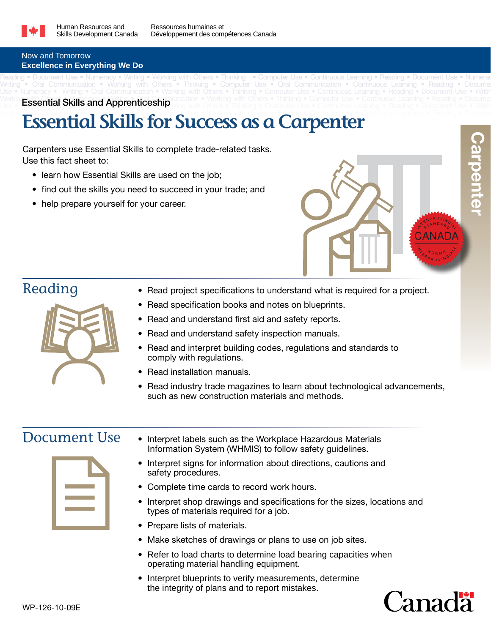

Reading • Document Use • Numeracy • Writing • Working with Others • Thinking • Computer Use • Continuous Learning • Reading • Document Use • Numeracy Writing • Oral Communication • Working with Others • Thinking • Computer Use • Oral Communication • Continuous Learning • Reading • Docume Use • Numeracy • Writing • Oral Communication • Working with Others • Thinking • Computer Use • Continuous Learning • Reading • Document Use • Writing

### Now and Tomorrow **Excellence in Everything We Do**

Working with Others • Numerand With Communication • Working with Others • Thinking • Computer Use • Continuous Learning • Reading • Docume Workin Essential Skills and Apprenticeship unication • Working with Others • Thinking • Computer Use • Continuous Learning • Reading • Reading • Document Use • Writing victorial Use • Writing with Others • Thinking • Compu

# **Essential Skills for Success as a Carpenter • Numeral • Reading • Position • Reading • Reading • Reading • Reading • Reading • Reading • Reading • Reading • Reading • Reading • Reading • Reading • Reading • Reading • Read**

Carpenters use Essential Skills to complete trade-related tasks. Use this fact sheet to:

- learn how Essential Skills are used on the job;
- find out the skills you need to succeed in your trade; and
- help prepare yourself for your career.





- Reading Read project specifications to understand what is required for a project.
	- Read specification books and notes on blueprints.
	- Read and understand first aid and safety reports.
	- Read and understand safety inspection manuals.
	- Read and interpret building codes, regulations and standards to comply with regulations.
	- **Read installation manuals.**
	- Read industry trade magazines to learn about technological advancements, such as new construction materials and methods.



- Document Use Interpret labels such as the Workplace Hazardous Materials Information System (WHMIS) to follow safety guidelines.
	- Interpret signs for information about directions, cautions and safety procedures.
	- Complete time cards to record work hours.
	- Interpret shop drawings and specifications for the sizes, locations and types of materials required for a job.
	- Prepare lists of materials.
	- Make sketches of drawings or plans to use on job sites.
	- Refer to load charts to determine load bearing capacities when operating material handling equipment.
	- Interpret blueprints to verify measurements, determine the integrity of plans and to report mistakes.

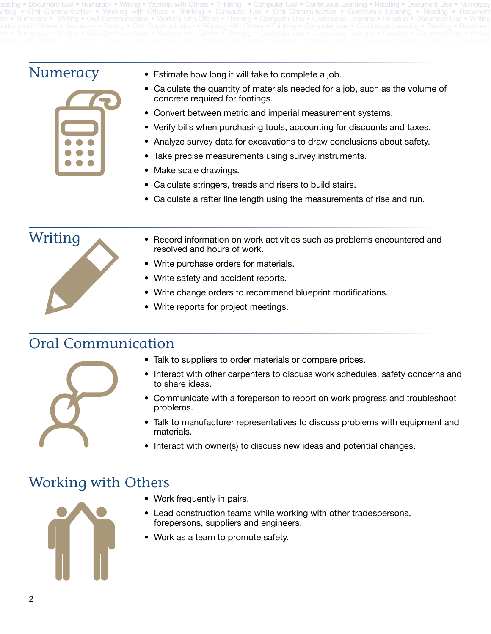Reading • Document Use • Numeracy • Writing • Working with Others • Thinking • Computer Use • Continuous Learning • Reading • Document Use • Numeracy Writing • Oral Communication • Working with Others • Thinking • Computer Use • Oral Communication • Continuous Learning • Reading • Document Ise • Numeracy • Writing • Oral Communication • Working with Others • Thinking • Computer Use • Continuous Learning • Reading • Document Use • Writing



- Numeracy Estimate how long it will take to complete a job.
	- Calculate the quantity of materials needed for a job, such as the volume of concrete required for footings.
	- Convert between metric and imperial measurement systems.
	- Verify bills when purchasing tools, accounting for discounts and taxes.
	- Analyze survey data for excavations to draw conclusions about safety.
	- Take precise measurements using survey instruments.
	- Make scale drawings.
	- Calculate stringers, treads and risers to build stairs.
	- Calculate a rafter line length using the measurements of rise and run.



- $Writing$  Record information on work activities such as problems encountered and resolved and hours of work.
	- Write purchase orders for materials.
	- Write safety and accident reports.
	- Write change orders to recommend blueprint modifications.
	- Write reports for project meetings.

## Oral Communication



- Interact with other carpenters to discuss work schedules, safety concerns and to share ideas.
- Communicate with a foreperson to report on work progress and troubleshoot problems.
- Talk to manufacturer representatives to discuss problems with equipment and materials.
- Interact with owner(s) to discuss new ideas and potential changes.

## Working with Others



- Work frequently in pairs.
- Lead construction teams while working with other tradespersons, forepersons, suppliers and engineers.
- Work as a team to promote safety.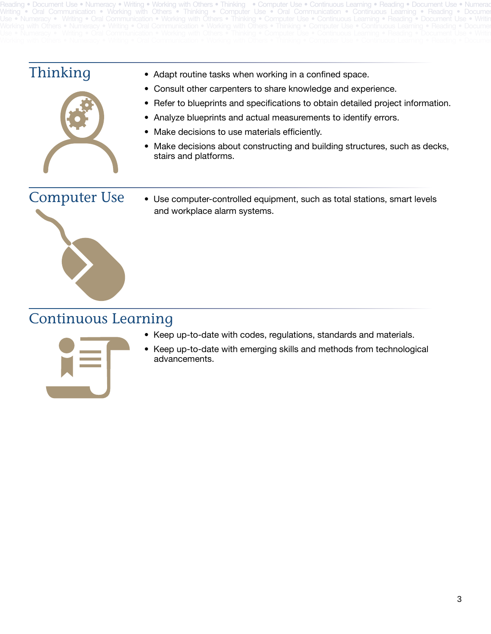Reading • Document Use • Numeracy • Writing • Working with Others • Thinking • Computer Use • Continuous Learning • Reading • Document Use • Numeracy Writing • Oral Communication • Working with Others • Thinking • Computer Use • Oral Communication • Continuous Learning • Reading • Documer Use • Numeracy • Writing • Oral Communication • Working with Others • Thinking • Computer Use • Continuous Learning • Reading • Document Use • Writing



- Thinking Adapt routine tasks when working in <sup>a</sup> confined space.
	- Consult other carpenters to share knowledge and experience.
	- Refer to blueprints and specifications to obtain detailed project information.
	- Analyze blueprints and actual measurements to identify errors.
	- Make decisions to use materials efficiently.
	- Make decisions about constructing and building structures, such as decks, stairs and platforms.

Computer Use • Use computer-controlled equipment, such as total stations, smart levels and workplace alarm systems.

## Continuous Learning



• Keep up-to-date with emerging skills and methods from technological advancements.